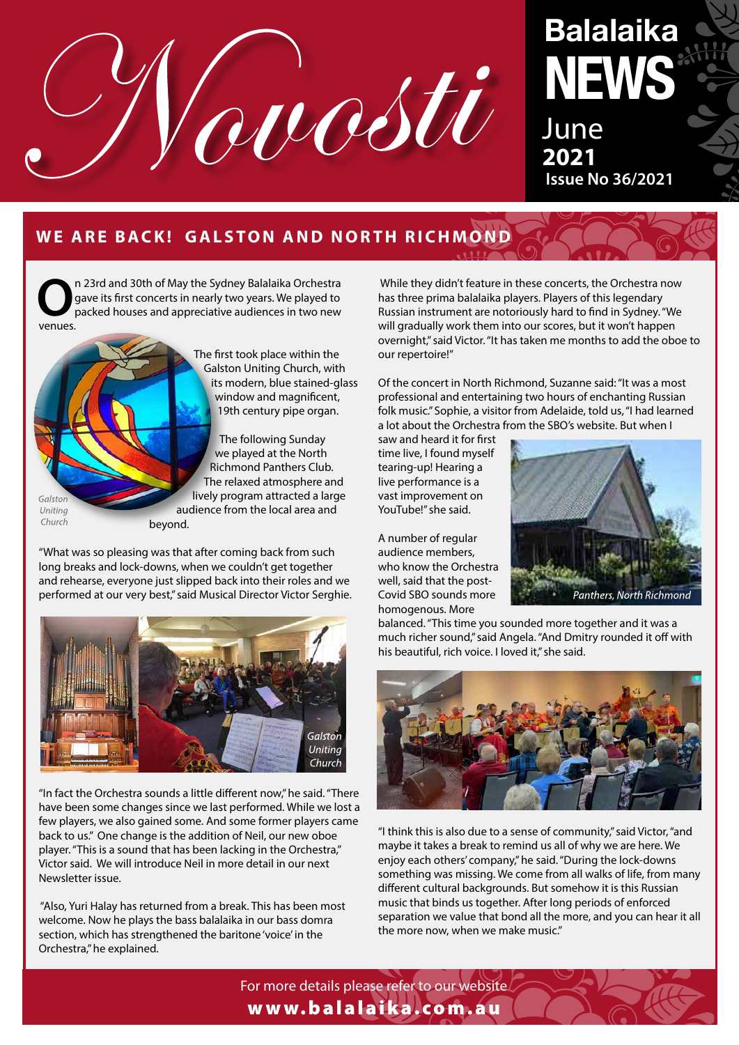

# **Balalaika NEWS**

**June 2021 Issue No 36/2021**

# **WE ARE BACK! GALSTON AND NORTH RICHMOND**

**O**n 23rd and 30th of May the Sydney Balalaika Orchestra gave its first concerts in nearly two years. We played to packed houses and appreciative audiences in two new venues.



The first took place within the Galston Uniting Church, with its modern, blue stained-glass window and magnificent, 19th century pipe organ.

 The following Sunday we played at the North Richmond Panthers Club. The relaxed atmosphere and lively program attracted a large audience from the local area and

"What was so pleasing was that after coming back from such long breaks and lock-downs, when we couldn't get together and rehearse, everyone just slipped back into their roles and we performed at our very best," said Musical Director Victor Serghie.



"In fact the Orchestra sounds a little different now," he said. "There have been some changes since we last performed. While we lost a few players, we also gained some. And some former players came back to us." One change is the addition of Neil, our new oboe player. "This is a sound that has been lacking in the Orchestra," Victor said. We will introduce Neil in more detail in our next Newsletter issue.

 "Also, Yuri Halay has returned from a break. This has been most welcome. Now he plays the bass balalaika in our bass domra section, which has strengthened the baritone 'voice' in the Orchestra," he explained.

 While they didn't feature in these concerts, the Orchestra now has three prima balalaika players. Players of this legendary Russian instrument are notoriously hard to find in Sydney. "We will gradually work them into our scores, but it won't happen overnight," said Victor. "It has taken me months to add the oboe to our repertoire!"

Of the concert in North Richmond, Suzanne said: "It was a most professional and entertaining two hours of enchanting Russian folk music." Sophie, a visitor from Adelaide, told us, "I had learned a lot about the Orchestra from the SBO's website. But when I

saw and heard it for first time live, I found myself tearing-up! Hearing a live performance is a vast improvement on YouTube!" she said.

A number of regular audience members, who know the Orchestra well, said that the post-Covid SBO sounds more homogenous. More



balanced. "This time you sounded more together and it was a much richer sound," said Angela. "And Dmitry rounded it off with his beautiful, rich voice. I loved it," she said.



"I think this is also due to a sense of community," said Victor, "and maybe it takes a break to remind us all of why we are here. We enjoy each others' company," he said. "During the lock-downs something was missing. We come from all walks of life, from many different cultural backgrounds. But somehow it is this Russian music that binds us together. After long periods of enforced separation we value that bond all the more, and you can hear it all the more now, when we make music."

For more details please refer to our website www.balalaika.com.au